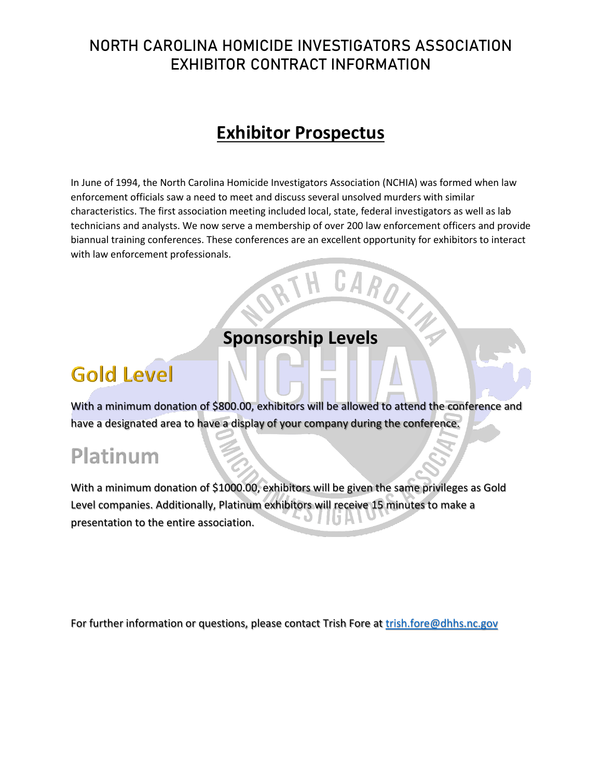### NORTH CAROLINA HOMICIDE INVESTIGATORS ASSOCIATION EXHIBITOR CONTRACT INFORMATION

## **Exhibitor Prospectus**

In June of 1994, the North Carolina Homicide Investigators Association (NCHIA) was formed when law enforcement officials saw a need to meet and discuss several unsolved murders with similar characteristics. The first association meeting included local, state, federal investigators as well as lab technicians and analysts. We now serve a membership of over 200 law enforcement officers and provide biannual training conferences. These conferences are an excellent opportunity for exhibitors to interact with law enforcement professionals.

### **Sponsorship Levels**

*\**

## **Gold** Level

With a minimum donation of \$800.00, exhibitors will be allowed to attend the conference and have a designated area to have a display of your company during the conference.

# **Platinum**

With a minimum donation of \$1000.00, exhibitors will be given the same privileges as Gold **With <sup>a</sup> minimum donation of \$1** Level companies. Additionally, Platinum exhibitors will receive 15 minutes to make a presentation to the entire association. **presentation to the entire association.**

For further information or questions, please contact Trish Fore at [trish.fore@dhhs.nc.gov](mailto:trish.fore@dhhs.nc.gov)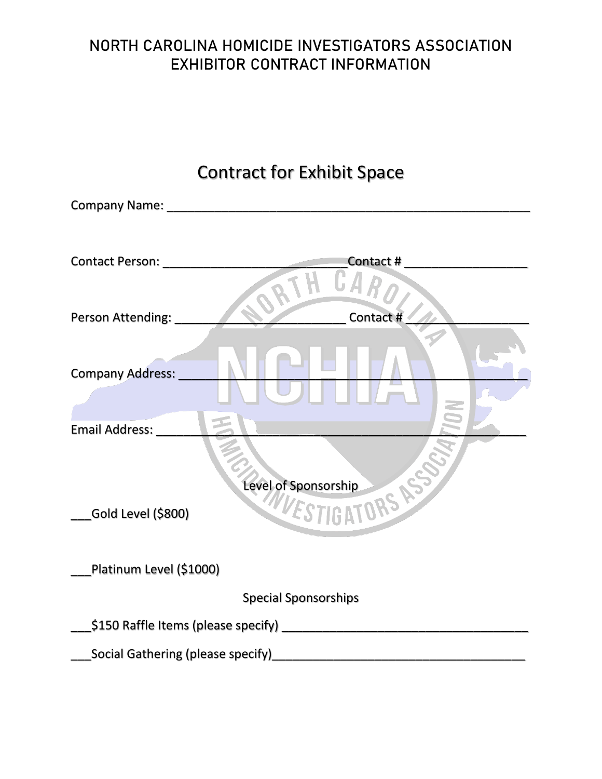### NORTH CAROLINA HOMICIDE INVESTIGATORS ASSOCIATION EXHIBITOR CONTRACT INFORMATION

| <b>Contract for Exhibit Space</b> |                             |
|-----------------------------------|-----------------------------|
|                                   |                             |
| <b>Contact Person:</b>            | Contact#                    |
| Person Attending:                 | Contact #                   |
| Company Address:                  |                             |
| Email Address:                    |                             |
|                                   |                             |
| Level of Sponsorship              |                             |
| Gold Level (\$800)                | WESTIGATORS                 |
| Platinum Level (\$1000)           |                             |
|                                   | <b>Special Sponsorships</b> |
|                                   |                             |
| Social Gathering (please specify) |                             |